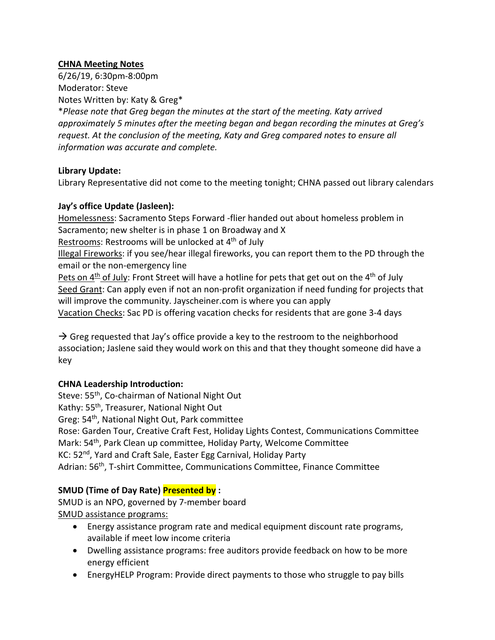## **CHNA Meeting Notes**

6/26/19, 6:30pm-8:00pm Moderator: Steve Notes Written by: Katy & Greg\*

\**Please note that Greg began the minutes at the start of the meeting. Katy arrived approximately 5 minutes after the meeting began and began recording the minutes at Greg's request. At the conclusion of the meeting, Katy and Greg compared notes to ensure all information was accurate and complete.*

#### **Library Update:**

Library Representative did not come to the meeting tonight; CHNA passed out library calendars

## **Jay's office Update (Jasleen):**

Homelessness: Sacramento Steps Forward -flier handed out about homeless problem in Sacramento; new shelter is in phase 1 on Broadway and X Restrooms: Restrooms will be unlocked at 4<sup>th</sup> of July Illegal Fireworks: if you see/hear illegal fireworks, you can report them to the PD through the email or the non-emergency line Pets on  $4<sup>th</sup>$  of July: Front Street will have a hotline for pets that get out on the  $4<sup>th</sup>$  of July Seed Grant: Can apply even if not an non-profit organization if need funding for projects that will improve the community. Jayscheiner.com is where you can apply Vacation Checks: Sac PD is offering vacation checks for residents that are gone 3-4 days

 $\rightarrow$  Greg requested that Jay's office provide a key to the restroom to the neighborhood association; Jaslene said they would work on this and that they thought someone did have a key

## **CHNA Leadership Introduction:**

Steve: 55<sup>th</sup>, Co-chairman of National Night Out Kathy: 55th, Treasurer, National Night Out Greg: 54th, National Night Out, Park committee Rose: Garden Tour, Creative Craft Fest, Holiday Lights Contest, Communications Committee Mark: 54<sup>th</sup>, Park Clean up committee, Holiday Party, Welcome Committee KC: 52nd, Yard and Craft Sale, Easter Egg Carnival, Holiday Party Adrian: 56<sup>th</sup>, T-shirt Committee, Communications Committee, Finance Committee

## **SMUD (Time of Day Rate) Presented by :**

SMUD is an NPO, governed by 7-member board SMUD assistance programs:

- Energy assistance program rate and medical equipment discount rate programs, available if meet low income criteria
- Dwelling assistance programs: free auditors provide feedback on how to be more energy efficient
- EnergyHELP Program: Provide direct payments to those who struggle to pay bills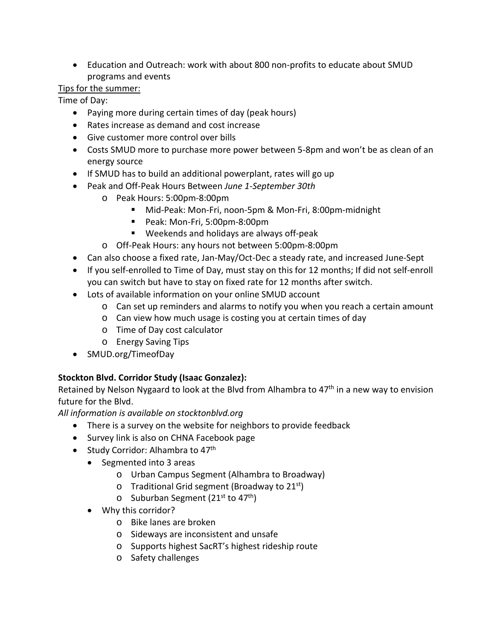• Education and Outreach: work with about 800 non-profits to educate about SMUD programs and events

# Tips for the summer:

Time of Day:

- Paying more during certain times of day (peak hours)
- Rates increase as demand and cost increase
- Give customer more control over bills
- Costs SMUD more to purchase more power between 5-8pm and won't be as clean of an energy source
- If SMUD has to build an additional powerplant, rates will go up
- Peak and Off-Peak Hours Between *June 1-September 30th*
	- o Peak Hours: 5:00pm-8:00pm
		- Mid-Peak: Mon-Fri, noon-5pm & Mon-Fri, 8:00pm-midnight
		- Peak: Mon-Fri, 5:00pm-8:00pm
		- Weekends and holidays are always off-peak
	- o Off-Peak Hours: any hours not between 5:00pm-8:00pm
- Can also choose a fixed rate, Jan-May/Oct-Dec a steady rate, and increased June-Sept
- If you self-enrolled to Time of Day, must stay on this for 12 months; If did not self-enroll you can switch but have to stay on fixed rate for 12 months after switch.
- Lots of available information on your online SMUD account
	- o Can set up reminders and alarms to notify you when you reach a certain amount
	- o Can view how much usage is costing you at certain times of day
	- o Time of Day cost calculator
	- o Energy Saving Tips
- SMUD.org/TimeofDay

# **Stockton Blvd. Corridor Study (Isaac Gonzalez):**

Retained by Nelson Nygaard to look at the Blvd from Alhambra to  $47<sup>th</sup>$  in a new way to envision future for the Blvd.

*All information is available on stocktonblvd.org* 

- There is a survey on the website for neighbors to provide feedback
- Survey link is also on CHNA Facebook page
- Study Corridor: Alhambra to  $47<sup>th</sup>$ 
	- Segmented into 3 areas
		- o Urban Campus Segment (Alhambra to Broadway)
		- o Traditional Grid segment (Broadway to  $21^{st}$ )
		- $\circ$  Suburban Segment (21<sup>st</sup> to 47<sup>th</sup>)
	- Why this corridor?
		- o Bike lanes are broken
		- o Sideways are inconsistent and unsafe
		- o Supports highest SacRT's highest rideship route
		- o Safety challenges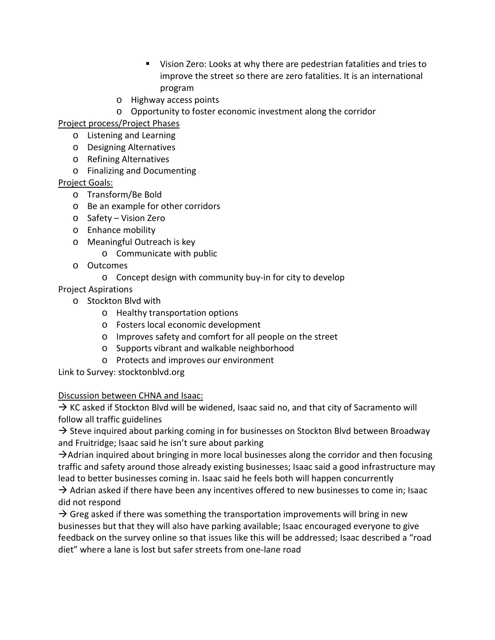- Vision Zero: Looks at why there are pedestrian fatalities and tries to improve the street so there are zero fatalities. It is an international program
- o Highway access points
- o Opportunity to foster economic investment along the corridor

Project process/Project Phases

- o Listening and Learning
- o Designing Alternatives
- o Refining Alternatives
- o Finalizing and Documenting

## Project Goals:

- o Transform/Be Bold
- o Be an example for other corridors
- o Safety Vision Zero
- o Enhance mobility
- o Meaningful Outreach is key
	- o Communicate with public
- o Outcomes
	- o Concept design with community buy-in for city to develop
- Project Aspirations
	- o Stockton Blvd with
		- o Healthy transportation options
		- o Fosters local economic development
		- o Improves safety and comfort for all people on the street
		- o Supports vibrant and walkable neighborhood
		- o Protects and improves our environment

Link to Survey: stocktonblvd.org

#### Discussion between CHNA and Isaac:

 $\rightarrow$  KC asked if Stockton Blvd will be widened, Isaac said no, and that city of Sacramento will follow all traffic guidelines

 $\rightarrow$  Steve inquired about parking coming in for businesses on Stockton Blvd between Broadway and Fruitridge; Isaac said he isn't sure about parking

 $\rightarrow$  Adrian inquired about bringing in more local businesses along the corridor and then focusing traffic and safety around those already existing businesses; Isaac said a good infrastructure may lead to better businesses coming in. Isaac said he feels both will happen concurrently

 $\rightarrow$  Adrian asked if there have been any incentives offered to new businesses to come in; Isaac did not respond

 $\rightarrow$  Greg asked if there was something the transportation improvements will bring in new businesses but that they will also have parking available; Isaac encouraged everyone to give feedback on the survey online so that issues like this will be addressed; Isaac described a "road diet" where a lane is lost but safer streets from one-lane road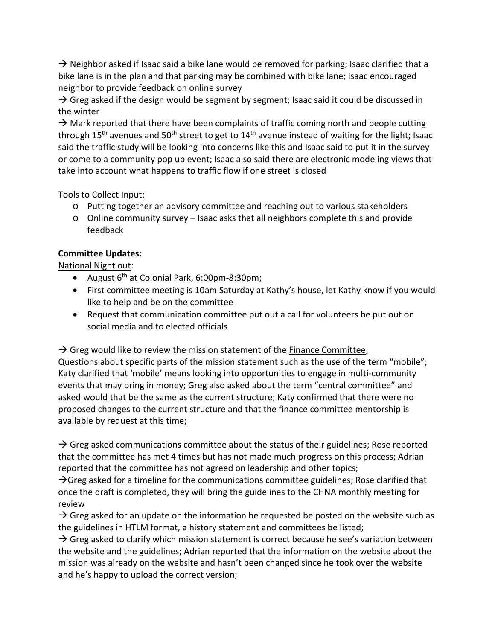$\rightarrow$  Neighbor asked if Isaac said a bike lane would be removed for parking; Isaac clarified that a bike lane is in the plan and that parking may be combined with bike lane; Isaac encouraged neighbor to provide feedback on online survey

 $\rightarrow$  Greg asked if the design would be segment by segment; Isaac said it could be discussed in the winter

 $\rightarrow$  Mark reported that there have been complaints of traffic coming north and people cutting through 15<sup>th</sup> avenues and 50<sup>th</sup> street to get to 14<sup>th</sup> avenue instead of waiting for the light; Isaac said the traffic study will be looking into concerns like this and Isaac said to put it in the survey or come to a community pop up event; Isaac also said there are electronic modeling views that take into account what happens to traffic flow if one street is closed

## Tools to Collect Input:

- o Putting together an advisory committee and reaching out to various stakeholders
- o Online community survey Isaac asks that all neighbors complete this and provide feedback

## **Committee Updates:**

National Night out:

- August  $6^{th}$  at Colonial Park, 6:00pm-8:30pm;
- First committee meeting is 10am Saturday at Kathy's house, let Kathy know if you would like to help and be on the committee
- Request that communication committee put out a call for volunteers be put out on social media and to elected officials

 $\rightarrow$  Greg would like to review the mission statement of the **Finance Committee**;

Questions about specific parts of the mission statement such as the use of the term "mobile"; Katy clarified that 'mobile' means looking into opportunities to engage in multi-community events that may bring in money; Greg also asked about the term "central committee" and asked would that be the same as the current structure; Katy confirmed that there were no proposed changes to the current structure and that the finance committee mentorship is available by request at this time;

 $\rightarrow$  Greg asked communications committee about the status of their guidelines; Rose reported that the committee has met 4 times but has not made much progress on this process; Adrian reported that the committee has not agreed on leadership and other topics;

 $\rightarrow$  Greg asked for a timeline for the communications committee guidelines; Rose clarified that once the draft is completed, they will bring the guidelines to the CHNA monthly meeting for review

 $\rightarrow$  Greg asked for an update on the information he requested be posted on the website such as the guidelines in HTLM format, a history statement and committees be listed;

 $\rightarrow$  Greg asked to clarify which mission statement is correct because he see's variation between the website and the guidelines; Adrian reported that the information on the website about the mission was already on the website and hasn't been changed since he took over the website and he's happy to upload the correct version;